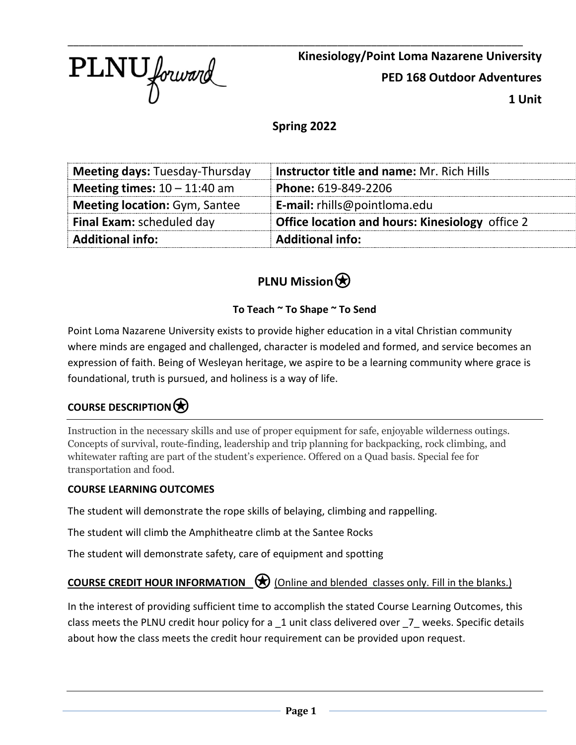PLNU forward

\_\_\_\_\_\_\_\_\_\_\_\_\_\_\_\_\_\_\_\_\_\_\_\_\_\_\_\_\_\_\_\_\_\_\_\_\_\_\_\_\_\_\_\_\_\_\_\_\_\_\_\_\_\_\_\_\_\_\_\_\_\_\_\_\_\_\_\_\_\_\_\_\_\_\_\_\_\_\_\_\_ **Kinesiology/Point Loma Nazarene University PED 168 Outdoor Adventures 1 Unit**

#### **Spring 2022**

| <b>Meeting days: Tuesday-Thursday</b> | <b>Instructor title and name: Mr. Rich Hills</b>       |  |
|---------------------------------------|--------------------------------------------------------|--|
| Meeting times: $10 - 11:40$ am        | Phone: 619-849-2206                                    |  |
| <b>Meeting location: Gym, Santee</b>  | E-mail: rhills@pointloma.edu                           |  |
| <b>Final Exam: scheduled day</b>      | <b>Office location and hours: Kinesiology</b> office 2 |  |
| <b>Additional info:</b>               | <b>Additional info:</b>                                |  |

## **PLNU Mission** $\bigcirc$

#### **To Teach ~ To Shape ~ To Send**

Point Loma Nazarene University exists to provide higher education in a vital Christian community where minds are engaged and challenged, character is modeled and formed, and service becomes an expression of faith. Being of Wesleyan heritage, we aspire to be a learning community where grace is foundational, truth is pursued, and holiness is a way of life.

## **COURSE DESCRIPTION**⍟

Instruction in the necessary skills and use of proper equipment for safe, enjoyable wilderness outings. Concepts of survival, route-finding, leadership and trip planning for backpacking, rock climbing, and whitewater rafting are part of the student's experience. Offered on a Quad basis. Special fee for transportation and food.

#### **COURSE LEARNING OUTCOMES**

The student will demonstrate the rope skills of belaying, climbing and rappelling.

The student will climb the Amphitheatre climb at the Santee Rocks

The student will demonstrate safety, care of equipment and spotting

### **COURSE CREDIT HOUR INFORMATION** (Online and blended classes only. Fill in the blanks.)

In the interest of providing sufficient time to accomplish the stated Course Learning Outcomes, this class meets the PLNU credit hour policy for a 1 unit class delivered over 7 weeks. Specific details about how the class meets the credit hour requirement can be provided upon request.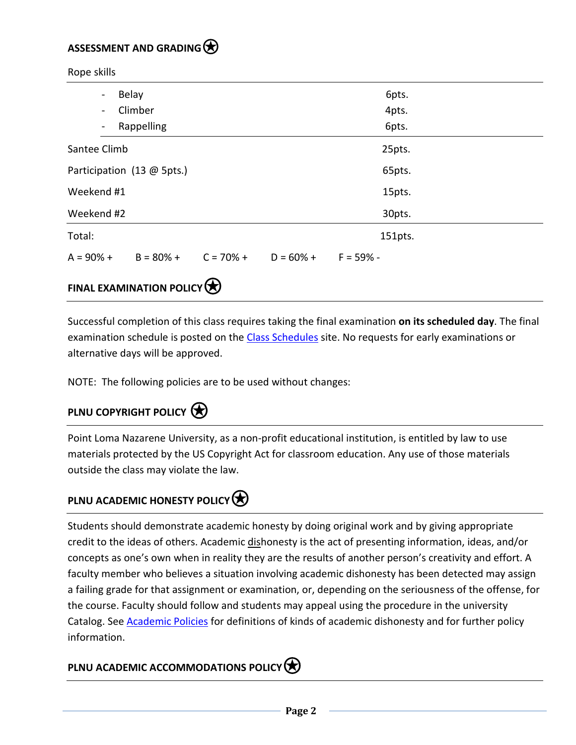#### **ASSESSMENT AND GRADING**⍟

Rope skills

| Belay<br>$\overline{\phantom{a}}$   |                         |        |                       | 6pts.   |  |
|-------------------------------------|-------------------------|--------|-----------------------|---------|--|
| Climber<br>$\overline{\phantom{a}}$ |                         |        |                       | 4pts.   |  |
| $\overline{\phantom{a}}$            | Rappelling              |        |                       | 6pts.   |  |
| Santee Climb                        |                         |        |                       | 25pts.  |  |
| Participation (13 @ 5pts.)          |                         |        |                       | 65pts.  |  |
| Weekend #1                          |                         |        |                       | 15pts.  |  |
| Weekend #2                          |                         |        |                       | 30pts.  |  |
| Total:                              |                         |        |                       | 151pts. |  |
| $A = 90% +$                         | $B = 80\% + C = 70\% +$ |        | $D = 60\% + F = 59\%$ |         |  |
|                                     |                         | $\sim$ |                       |         |  |

### **FINAL EXAMINATION POLICY**

Successful completion of this class requires taking the final examination **on its scheduled day**. The final examination schedule is posted on the [Class Schedules](http://www.pointloma.edu/experience/academics/class-schedules) site. No requests for early examinations or alternative days will be approved.

NOTE: The following policies are to be used without changes:

## **PLNU COPYRIGHT POLICY**

Point Loma Nazarene University, as a non-profit educational institution, is entitled by law to use materials protected by the US Copyright Act for classroom education. Any use of those materials outside the class may violate the law.

## **PLNU ACADEMIC HONESTY POLICY**

Students should demonstrate academic honesty by doing original work and by giving appropriate credit to the ideas of others. Academic dishonesty is the act of presenting information, ideas, and/or concepts as one's own when in reality they are the results of another person's creativity and effort. A faculty member who believes a situation involving academic dishonesty has been detected may assign a failing grade for that assignment or examination, or, depending on the seriousness of the offense, for the course. Faculty should follow and students may appeal using the procedure in the university Catalog. See **Academic Policies** for definitions of kinds of academic dishonesty and for further policy information.

## **PLNU ACADEMIC ACCOMMODATIONS POLICY**